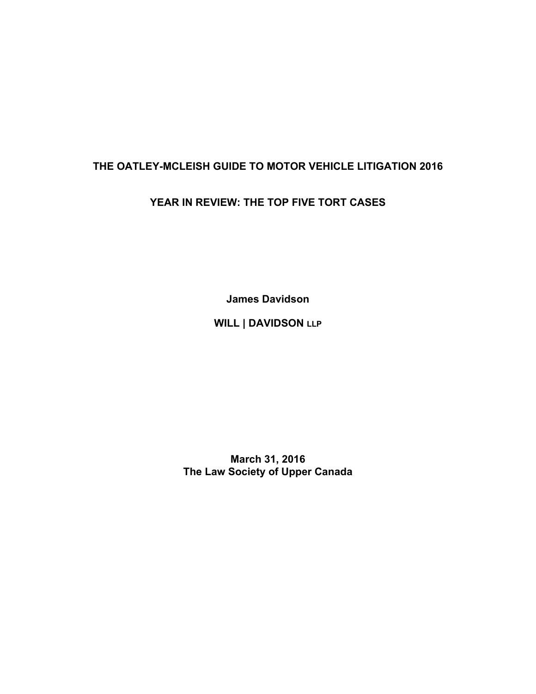# **THE OATLEY-MCLEISH GUIDE TO MOTOR VEHICLE LITIGATION 2016**

## **YEAR IN REVIEW: THE TOP FIVE TORT CASES**

**James Davidson** 

**WILL | DAVIDSON LLP**

**March 31, 2016 The Law Society of Upper Canada**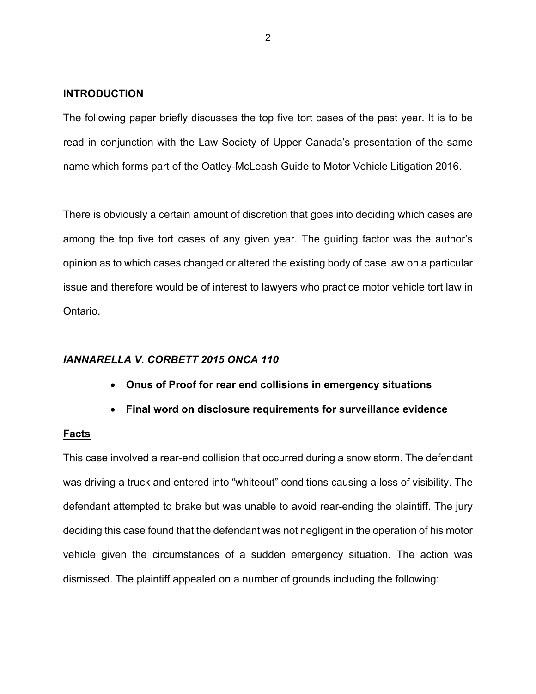#### **INTRODUCTION**

The following paper briefly discusses the top five tort cases of the past year. It is to be read in conjunction with the Law Society of Upper Canada's presentation of the same name which forms part of the Oatley-McLeash Guide to Motor Vehicle Litigation 2016.

There is obviously a certain amount of discretion that goes into deciding which cases are among the top five tort cases of any given year. The guiding factor was the author's opinion as to which cases changed or altered the existing body of case law on a particular issue and therefore would be of interest to lawyers who practice motor vehicle tort law in Ontario.

#### *IANNARELLA V. CORBETT 2015 ONCA 110*

- **Onus of Proof for rear end collisions in emergency situations**
- **Final word on disclosure requirements for surveillance evidence**

#### **Facts**

This case involved a rear-end collision that occurred during a snow storm. The defendant was driving a truck and entered into "whiteout" conditions causing a loss of visibility. The defendant attempted to brake but was unable to avoid rear-ending the plaintiff. The jury deciding this case found that the defendant was not negligent in the operation of his motor vehicle given the circumstances of a sudden emergency situation. The action was dismissed. The plaintiff appealed on a number of grounds including the following: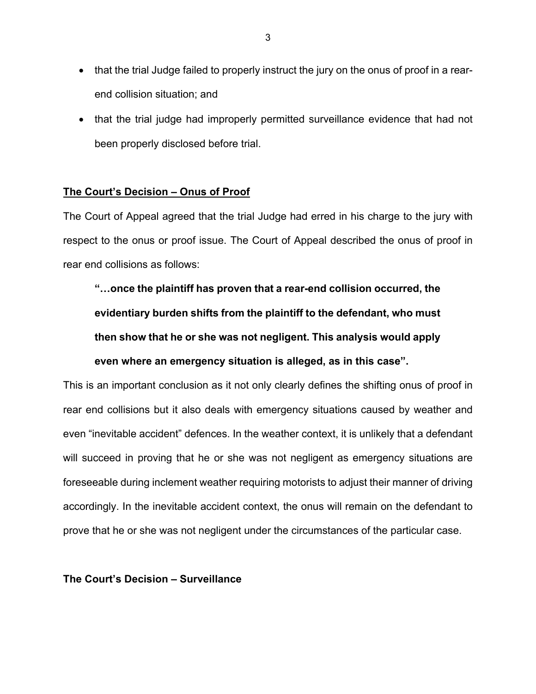- that the trial Judge failed to properly instruct the jury on the onus of proof in a rearend collision situation; and
- that the trial judge had improperly permitted surveillance evidence that had not been properly disclosed before trial.

## **The Court's Decision – Onus of Proof**

The Court of Appeal agreed that the trial Judge had erred in his charge to the jury with respect to the onus or proof issue. The Court of Appeal described the onus of proof in rear end collisions as follows:

**"…once the plaintiff has proven that a rear-end collision occurred, the evidentiary burden shifts from the plaintiff to the defendant, who must then show that he or she was not negligent. This analysis would apply even where an emergency situation is alleged, as in this case".** 

This is an important conclusion as it not only clearly defines the shifting onus of proof in rear end collisions but it also deals with emergency situations caused by weather and even "inevitable accident" defences. In the weather context, it is unlikely that a defendant will succeed in proving that he or she was not negligent as emergency situations are foreseeable during inclement weather requiring motorists to adjust their manner of driving accordingly. In the inevitable accident context, the onus will remain on the defendant to prove that he or she was not negligent under the circumstances of the particular case.

## **The Court's Decision – Surveillance**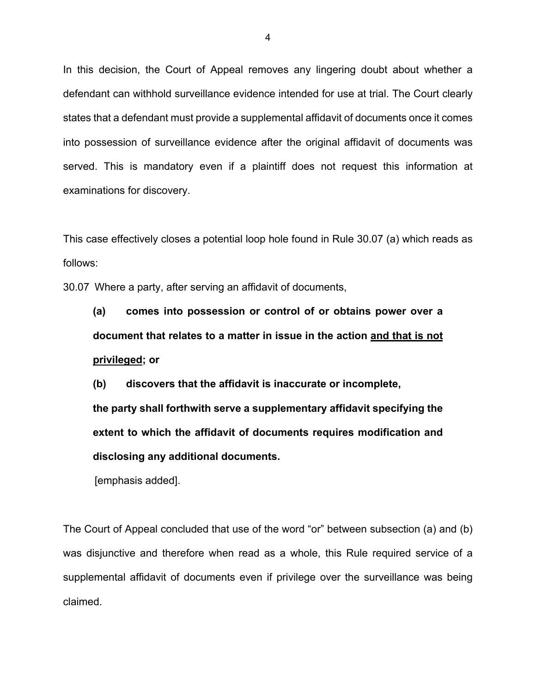In this decision, the Court of Appeal removes any lingering doubt about whether a defendant can withhold surveillance evidence intended for use at trial. The Court clearly states that a defendant must provide a supplemental affidavit of documents once it comes into possession of surveillance evidence after the original affidavit of documents was served. This is mandatory even if a plaintiff does not request this information at examinations for discovery.

This case effectively closes a potential loop hole found in Rule 30.07 (a) which reads as follows:

30.07 Where a party, after serving an affidavit of documents,

**(a) comes into possession or control of or obtains power over a document that relates to a matter in issue in the action and that is not privileged; or**

**(b) discovers that the affidavit is inaccurate or incomplete, the party shall forthwith serve a supplementary affidavit specifying the extent to which the affidavit of documents requires modification and disclosing any additional documents.**

[emphasis added].

The Court of Appeal concluded that use of the word "or" between subsection (a) and (b) was disjunctive and therefore when read as a whole, this Rule required service of a supplemental affidavit of documents even if privilege over the surveillance was being claimed.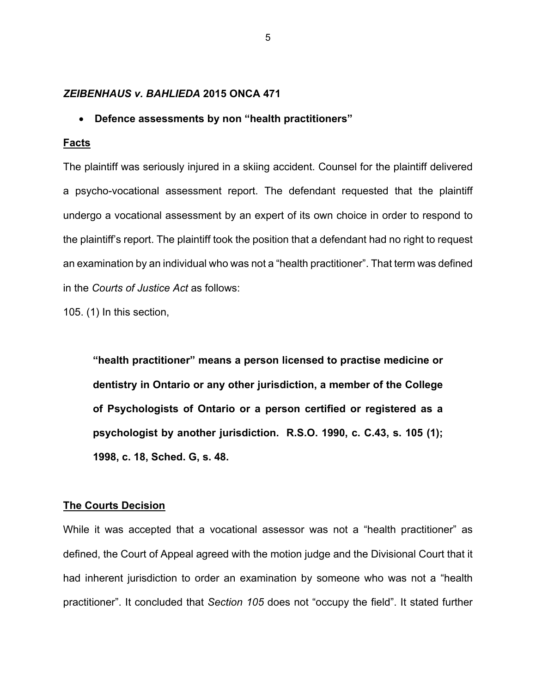#### *ZEIBENHAUS v. BAHLIEDA* **2015 ONCA 471**

#### • **Defence assessments by non "health practitioners"**

#### **Facts**

The plaintiff was seriously injured in a skiing accident. Counsel for the plaintiff delivered a psycho-vocational assessment report. The defendant requested that the plaintiff undergo a vocational assessment by an expert of its own choice in order to respond to the plaintiff's report. The plaintiff took the position that a defendant had no right to request an examination by an individual who was not a "health practitioner". That term was defined in the *Courts of Justice Act* as follows:

105. (1) In this section,

**"health practitioner" means a person licensed to practise medicine or dentistry in Ontario or any other jurisdiction, a member of the College of Psychologists of Ontario or a person certified or registered as a psychologist by another jurisdiction. R.S.O. 1990, c. C.43, s. 105 (1); 1998, c. 18, Sched. G, s. 48.**

## **The Courts Decision**

While it was accepted that a vocational assessor was not a "health practitioner" as defined, the Court of Appeal agreed with the motion judge and the Divisional Court that it had inherent jurisdiction to order an examination by someone who was not a "health practitioner". It concluded that *Section 105* does not "occupy the field". It stated further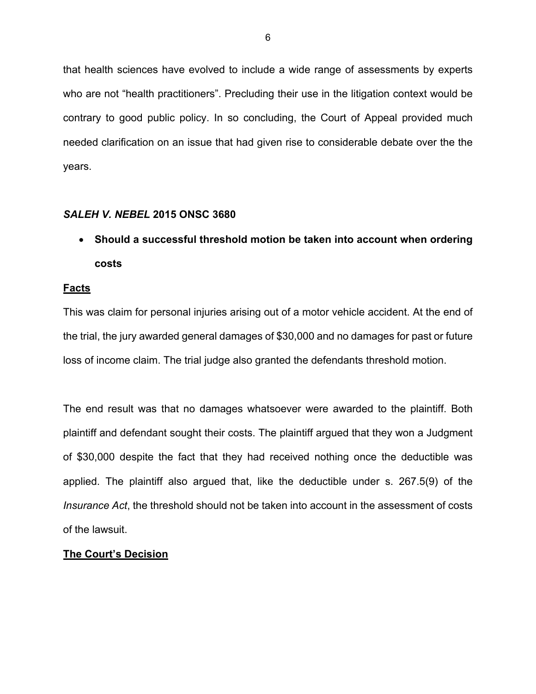that health sciences have evolved to include a wide range of assessments by experts who are not "health practitioners". Precluding their use in the litigation context would be contrary to good public policy. In so concluding, the Court of Appeal provided much needed clarification on an issue that had given rise to considerable debate over the the years.

## *SALEH V. NEBEL* **2015 ONSC 3680**

• **Should a successful threshold motion be taken into account when ordering costs** 

## **Facts**

This was claim for personal injuries arising out of a motor vehicle accident. At the end of the trial, the jury awarded general damages of \$30,000 and no damages for past or future loss of income claim. The trial judge also granted the defendants threshold motion.

The end result was that no damages whatsoever were awarded to the plaintiff. Both plaintiff and defendant sought their costs. The plaintiff argued that they won a Judgment of \$30,000 despite the fact that they had received nothing once the deductible was applied. The plaintiff also argued that, like the deductible under s. 267.5(9) of the *Insurance Act*, the threshold should not be taken into account in the assessment of costs of the lawsuit.

## **The Court's Decision**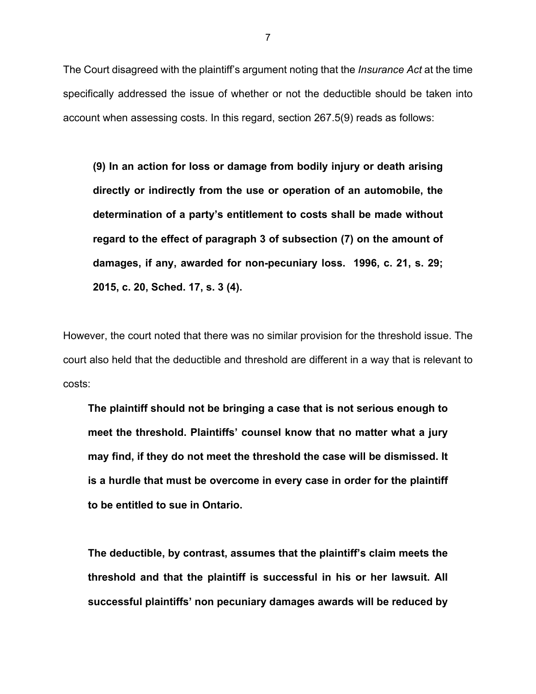The Court disagreed with the plaintiff's argument noting that the *Insurance Act* at the time specifically addressed the issue of whether or not the deductible should be taken into account when assessing costs. In this regard, section 267.5(9) reads as follows:

**(9) In an action for loss or damage from bodily injury or death arising directly or indirectly from the use or operation of an automobile, the determination of a party's entitlement to costs shall be made without regard to the effect of paragraph 3 of subsection (7) on the amount of damages, if any, awarded for non-pecuniary loss. 1996, c. 21, s. 29; 2015, c. 20, Sched. 17, s. 3 (4).**

However, the court noted that there was no similar provision for the threshold issue. The court also held that the deductible and threshold are different in a way that is relevant to costs:

**The plaintiff should not be bringing a case that is not serious enough to meet the threshold. Plaintiffs' counsel know that no matter what a jury may find, if they do not meet the threshold the case will be dismissed. It is a hurdle that must be overcome in every case in order for the plaintiff to be entitled to sue in Ontario.** 

**The deductible, by contrast, assumes that the plaintiff's claim meets the threshold and that the plaintiff is successful in his or her lawsuit. All successful plaintiffs' non pecuniary damages awards will be reduced by**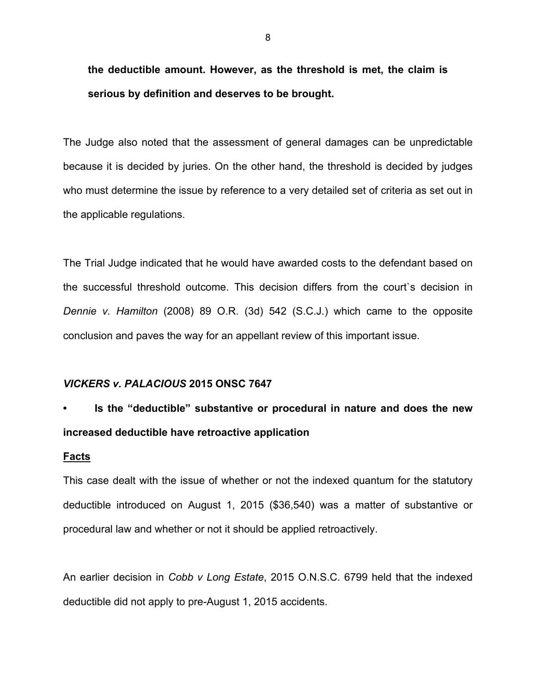**the deductible amount. However, as the threshold is met, the claim is serious by definition and deserves to be brought.**

The Judge also noted that the assessment of general damages can be unpredictable because it is decided by juries. On the other hand, the threshold is decided by judges who must determine the issue by reference to a very detailed set of criteria as set out in the applicable regulations.

The Trial Judge indicated that he would have awarded costs to the defendant based on the successful threshold outcome. This decision differs from the court`s decision in *Dennie v. Hamilton* (2008) 89 O.R. (3d) 542 (S.C.J.) which came to the opposite conclusion and paves the way for an appellant review of this important issue.

#### *VICKERS v. PALACIOUS* **2015 ONSC 7647**

# **• Is the "deductible" substantive or procedural in nature and does the new increased deductible have retroactive application**

#### **Facts**

This case dealt with the issue of whether or not the indexed quantum for the statutory deductible introduced on August 1, 2015 (\$36,540) was a matter of substantive or procedural law and whether or not it should be applied retroactively.

An earlier decision in *Cobb v Long Estate*, 2015 O.N.S.C. 6799 held that the indexed deductible did not apply to pre-August 1, 2015 accidents.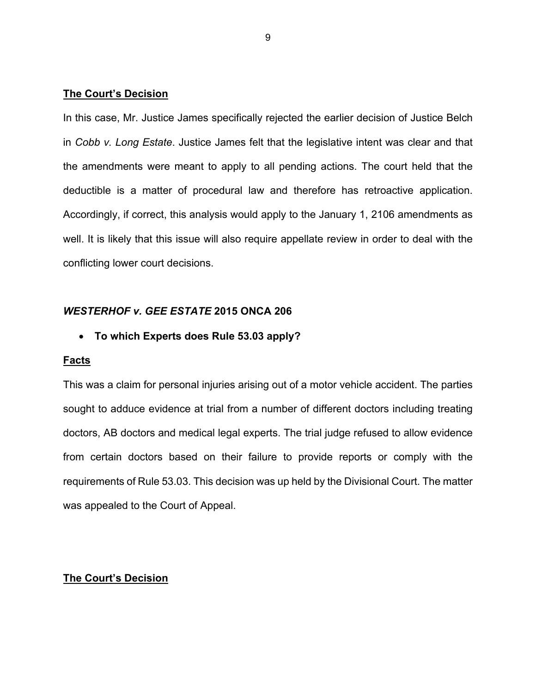## **The Court's Decision**

In this case, Mr. Justice James specifically rejected the earlier decision of Justice Belch in *Cobb v. Long Estate*. Justice James felt that the legislative intent was clear and that the amendments were meant to apply to all pending actions. The court held that the deductible is a matter of procedural law and therefore has retroactive application. Accordingly, if correct, this analysis would apply to the January 1, 2106 amendments as well. It is likely that this issue will also require appellate review in order to deal with the conflicting lower court decisions.

## *WESTERHOF v. GEE ESTATE* **2015 ONCA 206**

• **To which Experts does Rule 53.03 apply?**

#### **Facts**

This was a claim for personal injuries arising out of a motor vehicle accident. The parties sought to adduce evidence at trial from a number of different doctors including treating doctors, AB doctors and medical legal experts. The trial judge refused to allow evidence from certain doctors based on their failure to provide reports or comply with the requirements of Rule 53.03. This decision was up held by the Divisional Court. The matter was appealed to the Court of Appeal.

## **The Court's Decision**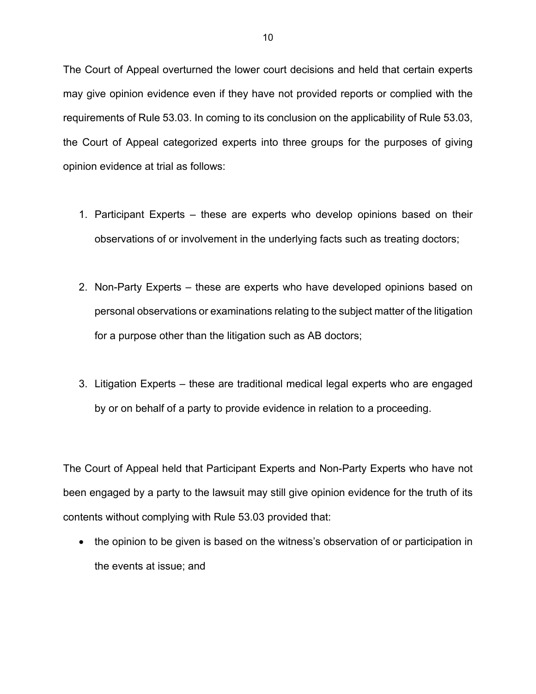The Court of Appeal overturned the lower court decisions and held that certain experts may give opinion evidence even if they have not provided reports or complied with the requirements of Rule 53.03. In coming to its conclusion on the applicability of Rule 53.03, the Court of Appeal categorized experts into three groups for the purposes of giving opinion evidence at trial as follows:

- 1. Participant Experts these are experts who develop opinions based on their observations of or involvement in the underlying facts such as treating doctors;
- 2. Non-Party Experts these are experts who have developed opinions based on personal observations or examinations relating to the subject matter of the litigation for a purpose other than the litigation such as AB doctors;
- 3. Litigation Experts these are traditional medical legal experts who are engaged by or on behalf of a party to provide evidence in relation to a proceeding.

The Court of Appeal held that Participant Experts and Non-Party Experts who have not been engaged by a party to the lawsuit may still give opinion evidence for the truth of its contents without complying with Rule 53.03 provided that:

• the opinion to be given is based on the witness's observation of or participation in the events at issue; and